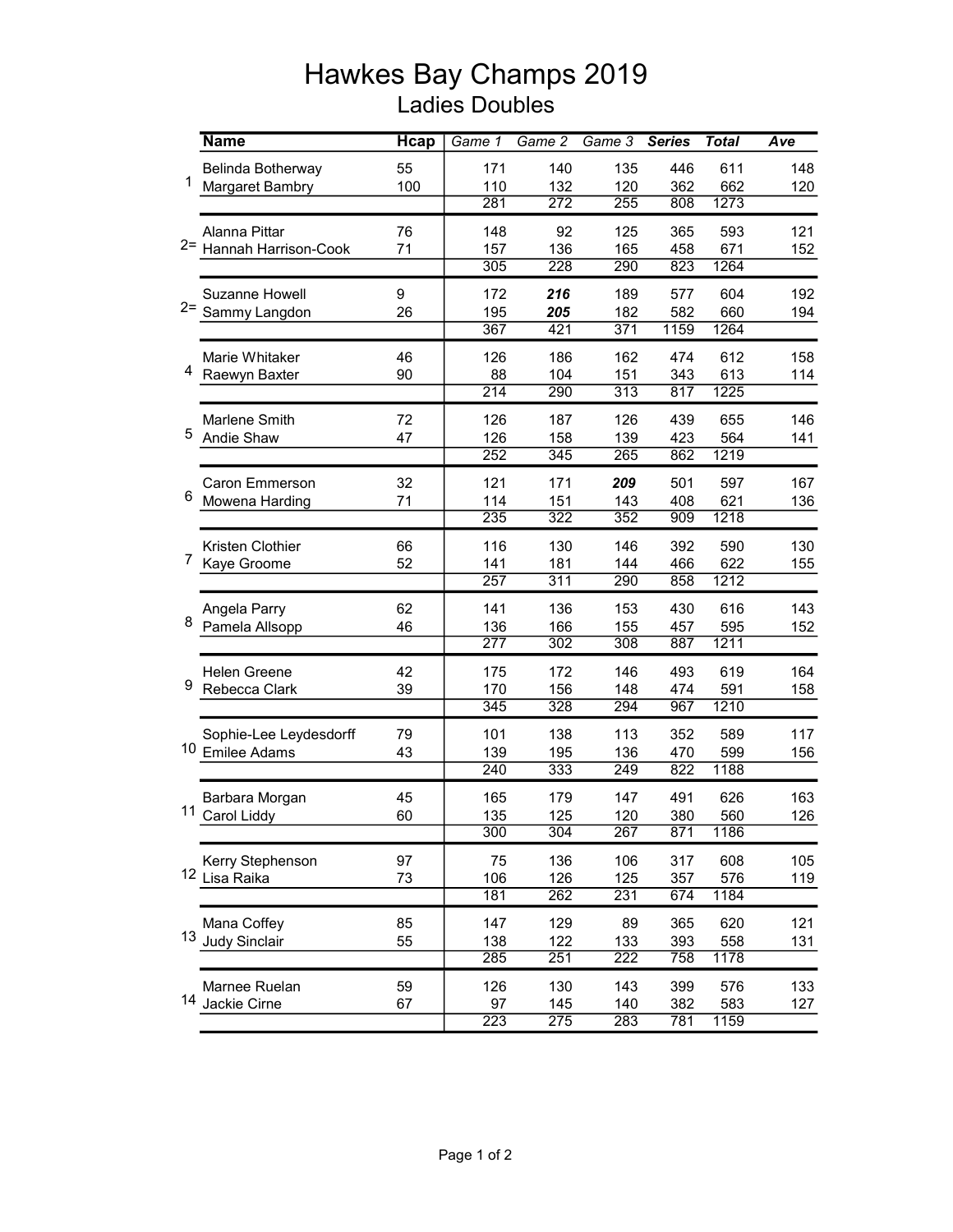## Hawkes Bay Champs 2019 Ladies Doubles

|                | <b>Name</b>            | <b>Hcap</b> | Game 1 | Game $2$ | Game 3           | <b>Series</b>    | <b>Total</b> | Ave |
|----------------|------------------------|-------------|--------|----------|------------------|------------------|--------------|-----|
| 1              | Belinda Botherway      | 55          | 171    | 140      | 135              | 446              | 611          | 148 |
|                | Margaret Bambry        | 100         | 110    | 132      | 120              | 362              | 662          | 120 |
|                |                        |             | 281    | 272      | 255              | 808              | 1273         |     |
| $2 =$          | Alanna Pittar          | 76          | 148    | 92       | 125              | 365              | 593          | 121 |
|                | Hannah Harrison-Cook   | 71          | 157    | 136      | 165              | 458              | 671          | 152 |
|                |                        |             | 305    | 228      | 290              | 823              | 1264         |     |
|                | <b>Suzanne Howell</b>  | 9           | 172    | 216      | 189              | 577              | 604          | 192 |
| $2 =$          | Sammy Langdon          | 26          | 195    | 205      | 182              | 582              | 660          | 194 |
|                |                        |             | 367    | 421      | 371              | 1159             | 1264         |     |
|                | Marie Whitaker         | 46          | 126    | 186      | 162              | 474              | 612          | 158 |
| 4              | Raewyn Baxter          | 90          | 88     | 104      | 151              | 343              | 613          | 114 |
|                |                        |             | 214    | 290      | 313              | 817              | 1225         |     |
|                | Marlene Smith          | 72          | 126    | 187      | 126              | 439              | 655          | 146 |
| 5              | Andie Shaw             | 47          | 126    | 158      | 139              | 423              | 564          | 141 |
|                |                        |             | 252    | 345      | 265              | 862              | 1219         |     |
|                | <b>Caron Emmerson</b>  | 32          | 121    | 171      | 209              | 501              | 597          | 167 |
| 6              | Mowena Harding         | 71          | 114    | 151      | 143              | 408              | 621          | 136 |
|                |                        |             | 235    | 322      | 352              | $\overline{909}$ | 1218         |     |
|                | Kristen Clothier       | 66          | 116    | 130      | 146              | 392              | 590          | 130 |
| $\overline{7}$ | Kaye Groome            | 52          | 141    | 181      | 144              | 466              | 622          | 155 |
|                |                        |             | 257    | 311      | 290              | 858              | 1212         |     |
|                | Angela Parry           | 62          | 141    | 136      | 153              | 430              | 616          | 143 |
| 8              | Pamela Allsopp         | 46          | 136    | 166      | 155              | 457              | 595          | 152 |
|                |                        |             | 277    | 302      | 308              | 887              | 1211         |     |
|                | <b>Helen Greene</b>    | 42          | 175    | 172      | 146              | 493              | 619          | 164 |
| 9              | Rebecca Clark          | 39          | 170    | 156      | 148              | 474              | 591          | 158 |
|                |                        |             | 345    | 328      | 294              | 967              | 1210         |     |
|                | Sophie-Lee Leydesdorff | 79          | 101    | 138      | 113              | 352              | 589          | 117 |
| 10             | <b>Emilee Adams</b>    | 43          | 139    | 195      | 136              | 470              | 599          | 156 |
|                |                        |             | 240    | 333      | 249              | 822              | 1188         |     |
|                | Barbara Morgan         | 45          | 165    | 179      | 147              | 491              | 626          | 163 |
|                | 11 Carol Liddy         | 60          | 135    | 125      | 120              | 380              | 560          | 126 |
|                |                        |             | 300    | 304      | 267              | 871              | 1186         |     |
|                | Kerry Stephenson       | 97          | 75     | 136      | 106              | 317              | 608          | 105 |
|                | 12 Lisa Raika          | 73          | 106    | 126      | 125              | 357              | 576          | 119 |
|                |                        |             | 181    | 262      | 231              | 674              | 1184         |     |
|                | Mana Coffey            | 85          | 147    | 129      | 89               | 365              | 620          | 121 |
|                | 13 Judy Sinclair       | 55          | 138    | 122      | 133              | 393              | 558          | 131 |
|                |                        |             | 285    | 251      | $\overline{222}$ | 758              | 1178         |     |
|                | Marnee Ruelan          | 59          | 126    | 130      | 143              | 399              | 576          | 133 |
|                | 14 Jackie Cirne        | 67          | 97     | 145      | 140              | 382              | 583          | 127 |
|                |                        |             | 223    | 275      | 283              | 781              | 1159         |     |